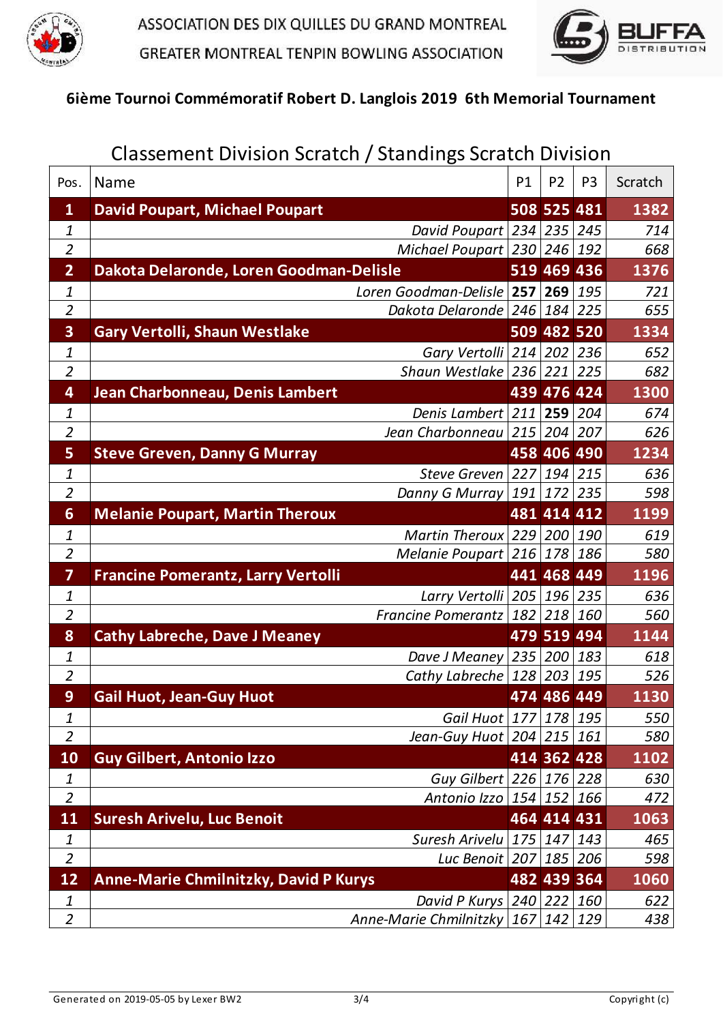



## 6ième Tournoi Commémoratif Robert D. Langlois 2019 6th Memorial Tournament

| Classement Division Scratch / Standings Scratch Division |                                              |     |                |                |         |  |  |
|----------------------------------------------------------|----------------------------------------------|-----|----------------|----------------|---------|--|--|
| Pos.                                                     | Name                                         | P1  | P <sub>2</sub> | P <sub>3</sub> | Scratch |  |  |
| $\mathbf{1}$                                             | <b>David Poupart, Michael Poupart</b>        |     | 508 525 481    |                | 1382    |  |  |
| 1                                                        | David Poupart 234 235 245                    |     |                |                | 714     |  |  |
| $\overline{2}$                                           | Michael Poupart $ 230 246 192$               |     |                |                | 668     |  |  |
| $\overline{2}$                                           | Dakota Delaronde, Loren Goodman-Delisle      |     | 519 469 436    |                | 1376    |  |  |
| 1                                                        | Loren Goodman-Delisle 257 269                |     |                | 195            | 721     |  |  |
| $\overline{2}$                                           | Dakota Delaronde $246$ 184 225               |     |                |                | 655     |  |  |
| 3                                                        | <b>Gary Vertolli, Shaun Westlake</b>         |     | 509 482 520    |                | 1334    |  |  |
| $\boldsymbol{\mathit{1}}$                                | Gary Vertolli $ 214 202 236$                 |     |                |                | 652     |  |  |
| $\overline{a}$                                           | Shaun Westlake 236 221 225                   |     |                |                | 682     |  |  |
| 4                                                        | Jean Charbonneau, Denis Lambert              |     | 439 476 424    |                | 1300    |  |  |
| 1                                                        | Denis Lambert 211 259 204                    |     |                |                | 674     |  |  |
| $\overline{2}$                                           | Jean Charbonneau $ 215 204 207$              |     |                |                | 626     |  |  |
| 5                                                        | <b>Steve Greven, Danny G Murray</b>          |     | 458 406 490    |                | 1234    |  |  |
| 1                                                        | Steve Greven 227                             |     | $194$ 215      |                | 636     |  |  |
| $\overline{2}$                                           | Danny G Murray                               | 191 | 172 235        |                | 598     |  |  |
| 6                                                        | <b>Melanie Poupart, Martin Theroux</b>       |     | 481 414 412    |                | 1199    |  |  |
| 1                                                        | Martin Theroux $229$ $200$ 190               |     |                |                | 619     |  |  |
| $\overline{2}$                                           | Melanie Poupart $216 178 186$                |     |                |                | 580     |  |  |
| 7                                                        | <b>Francine Pomerantz, Larry Vertolli</b>    |     | 441 468 449    |                | 1196    |  |  |
| 1                                                        | Larry Vertolli   205   196   235             |     |                |                | 636     |  |  |
| $\overline{2}$                                           | Francine Pomerantz $182$ 218 160             |     |                |                | 560     |  |  |
| 8                                                        | <b>Cathy Labreche, Dave J Meaney</b>         |     | 479 519 494    |                | 1144    |  |  |
| 1                                                        | Dave J Meaney $ 235 200 183$                 |     |                |                | 618     |  |  |
| $\overline{2}$                                           | Cathy Labreche $ 128 203 195$                |     |                |                | 526     |  |  |
| 9                                                        | <b>Gail Huot, Jean-Guy Huot</b>              |     | 474 486 449    |                | 1130    |  |  |
| 1                                                        | Gail Huot 177 178 195                        |     |                |                | 550     |  |  |
| $\overline{2}$                                           | Jean-Guy Huot $ 204 215 161$                 |     |                |                | 580     |  |  |
| <b>10</b>                                                | <b>Guy Gilbert, Antonio Izzo</b>             |     |                | 414 362 428    | 1102    |  |  |
| 1                                                        | Guy Gilbert 226 176 228                      |     |                |                | 630     |  |  |
| $\overline{2}$                                           | Antonio Izzo   154   152   166               |     |                |                | 472     |  |  |
| <b>11</b>                                                | <b>Suresh Arivelu, Luc Benoit</b>            |     | 464 414 431    |                | 1063    |  |  |
| $\boldsymbol{1}$                                         | Suresh Arivelu $175$ 147 143                 |     |                |                | 465     |  |  |
| $\overline{2}$                                           | Luc Benoit   207   185   206                 |     |                |                | 598     |  |  |
| <b>12</b>                                                | <b>Anne-Marie Chmilnitzky, David P Kurys</b> |     | 482 439 364    |                | 1060    |  |  |
| $\mathbf{1}$                                             | David P Kurys $ 240 222 160$                 |     |                |                | 622     |  |  |
| $\overline{2}$                                           | Anne-Marie Chmilnitzky                       | 167 | 142 129        |                | 438     |  |  |